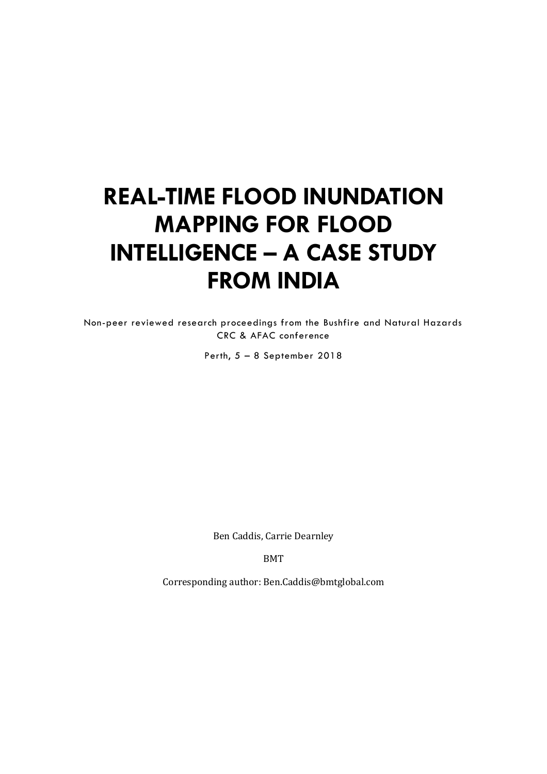# **REAL-TIME FLOOD INUNDATION MAPPING FOR FLOOD INTELLIGENCE – A CASE STUDY FROM INDIA**

Non-peer reviewed research proceedings from the Bushfire and Natural Hazards CRC & AFAC conference

Perth, 5 – 8 September 2018

Ben Caddis, Carrie Dearnley

BMT

Corresponding author: Ben.Caddis@bmtglobal.com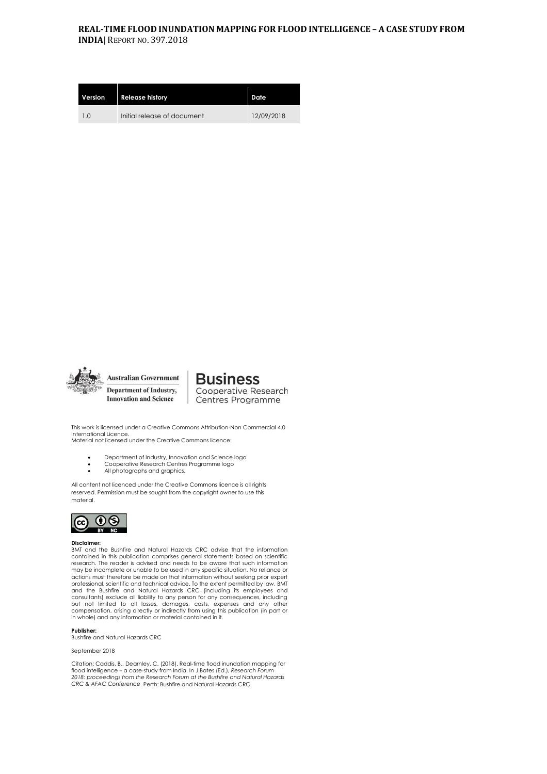#### **REAL-TIME FLOOD INUNDATION MAPPING FOR FLOOD INTELLIGENCE – A CASE STUDY FROM INDIA**| REPORT NO. 397.2018

| Version | <b>Release history</b>      | Date       |
|---------|-----------------------------|------------|
| 1.0     | Initial release of document | 12/09/2018 |



**Business** Cooperative Research Centres Programme

This work is licensed under a Creative Commons Attribution-Non Commercial 4.0 International Licence. Material not licensed under the Creative Commons licence:

- Department of Industry, Innovation and Science logo
- Cooperative Research Centres Programme logo
- All photographs and graphics.

All content not licenced under the Creative Commons licence is all rights reserved. Permission must be sought from the copyright owner to use this material.



#### **Disclaimer:**

BMT and the Bushfire and Natural Hazards CRC advise that the information contained in this publication comprises general statements based on scientific research. The reader is advised and needs to be aware that such information may be incomplete or unable to be used in any specific situation. No reliance or actions must therefore be made on that information without seeking prior expert professional, scientific and technical advice. To the extent permitted by law, BMT and the Bushfire and Natural Hazards CRC (including its employees and<br>consultants) exclude all liability to any person for any consequences, including<br>but not limited to all losses, damages, costs, expenses and any other compensation, arising directly or indirectly from using this publication (in part or in whole) and any information or material contained in it.

#### **Publisher:**

Bushfire and Natural Hazards CRC

September 2018

Citation: Caddis, B., Dearnley, C. (2018). Real-time flood inundation mapping for flood intelligence – a case-study from India. In J.Bates (Ed.), *Research Forum 2018: proceedings from the Research Forum at the Bushfire and Natural Hazards CRC & AFAC Conference*. Perth: Bushfire and Natural Hazards CRC.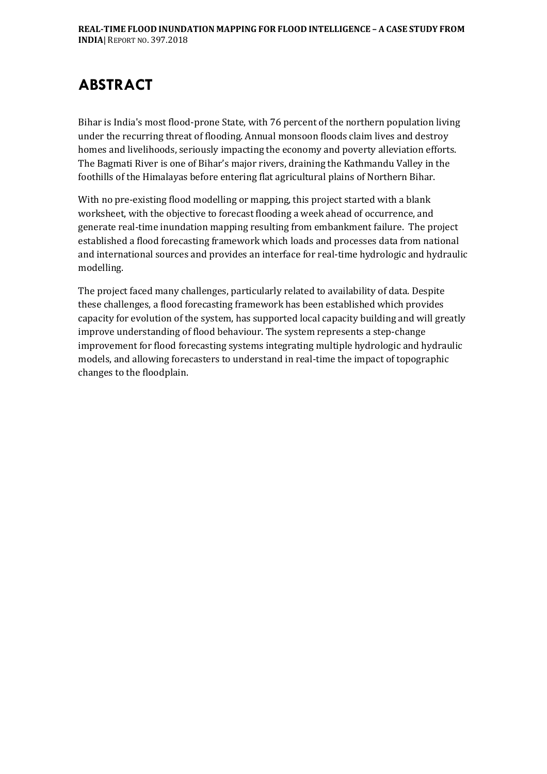## **ABSTRACT**

Bihar is India's most flood-prone State, with 76 percent of the northern population living under the recurring threat of flooding. Annual monsoon floods claim lives and destroy homes and livelihoods, seriously impacting the economy and poverty alleviation efforts. The Bagmati River is one of Bihar's major rivers, draining the Kathmandu Valley in the foothills of the Himalayas before entering flat agricultural plains of Northern Bihar.

With no pre-existing flood modelling or mapping, this project started with a blank worksheet, with the objective to forecast flooding a week ahead of occurrence, and generate real-time inundation mapping resulting from embankment failure. The project established a flood forecasting framework which loads and processes data from national and international sources and provides an interface for real-time hydrologic and hydraulic modelling.

The project faced many challenges, particularly related to availability of data. Despite these challenges, a flood forecasting framework has been established which provides capacity for evolution of the system, has supported local capacity building and will greatly improve understanding of flood behaviour. The system represents a step-change improvement for flood forecasting systems integrating multiple hydrologic and hydraulic models, and allowing forecasters to understand in real-time the impact of topographic changes to the floodplain.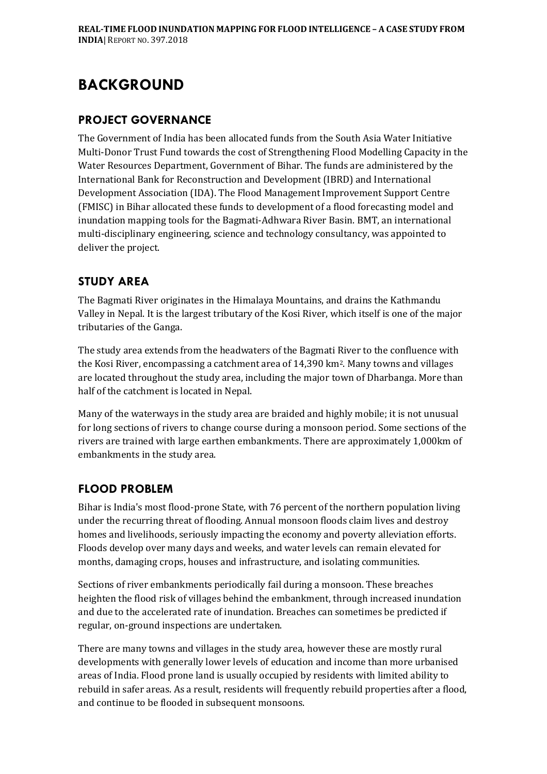## **BACKGROUND**

#### **PROJECT GOVERNANCE**

The Government of India has been allocated funds from the South Asia Water Initiative Multi-Donor Trust Fund towards the cost of Strengthening Flood Modelling Capacity in the Water Resources Department, Government of Bihar. The funds are administered by the International Bank for Reconstruction and Development (IBRD) and International Development Association (IDA). The Flood Management Improvement Support Centre (FMISC) in Bihar allocated these funds to development of a flood forecasting model and inundation mapping tools for the Bagmati-Adhwara River Basin. BMT, an international multi-disciplinary engineering, science and technology consultancy, was appointed to deliver the project.

### **STUDY AREA**

The Bagmati River originates in the Himalaya Mountains, and drains the Kathmandu Valley in Nepal. It is the largest tributary of the Kosi River, which itself is one of the major tributaries of the Ganga.

The study area extends from the headwaters of the Bagmati River to the confluence with the Kosi River, encompassing a catchment area of 14,390 km2. Many towns and villages are located throughout the study area, including the major town of Dharbanga. More than half of the catchment is located in Nepal.

Many of the waterways in the study area are braided and highly mobile; it is not unusual for long sections of rivers to change course during a monsoon period. Some sections of the rivers are trained with large earthen embankments. There are approximately 1,000km of embankments in the study area.

### **FLOOD PROBLEM**

Bihar is India's most flood-prone State, with 76 percent of the northern population living under the recurring threat of flooding. Annual monsoon floods claim lives and destroy homes and livelihoods, seriously impacting the economy and poverty alleviation efforts. Floods develop over many days and weeks, and water levels can remain elevated for months, damaging crops, houses and infrastructure, and isolating communities.

Sections of river embankments periodically fail during a monsoon. These breaches heighten the flood risk of villages behind the embankment, through increased inundation and due to the accelerated rate of inundation. Breaches can sometimes be predicted if regular, on-ground inspections are undertaken.

There are many towns and villages in the study area, however these are mostly rural developments with generally lower levels of education and income than more urbanised areas of India. Flood prone land is usually occupied by residents with limited ability to rebuild in safer areas. As a result, residents will frequently rebuild properties after a flood, and continue to be flooded in subsequent monsoons.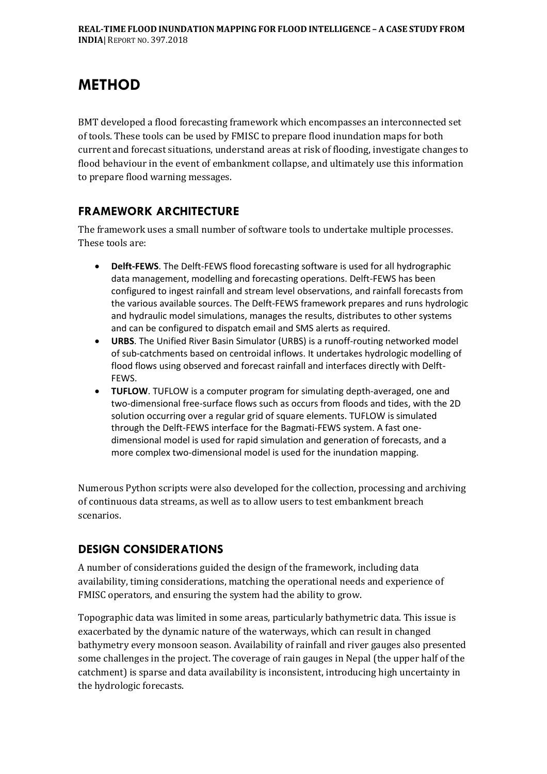## **METHOD**

BMT developed a flood forecasting framework which encompasses an interconnected set of tools. These tools can be used by FMISC to prepare flood inundation maps for both current and forecast situations, understand areas at risk of flooding, investigate changes to flood behaviour in the event of embankment collapse, and ultimately use this information to prepare flood warning messages.

### **FRAMEWORK ARCHITECTURE**

The framework uses a small number of software tools to undertake multiple processes. These tools are:

- **Delft-FEWS**. The Delft-FEWS flood forecasting software is used for all hydrographic data management, modelling and forecasting operations. Delft-FEWS has been configured to ingest rainfall and stream level observations, and rainfall forecasts from the various available sources. The Delft-FEWS framework prepares and runs hydrologic and hydraulic model simulations, manages the results, distributes to other systems and can be configured to dispatch email and SMS alerts as required.
- **URBS**. The Unified River Basin Simulator (URBS) is a runoff-routing networked model of sub-catchments based on centroidal inflows. It undertakes hydrologic modelling of flood flows using observed and forecast rainfall and interfaces directly with Delft-FEWS.
- **TUFLOW**. TUFLOW is a computer program for simulating depth-averaged, one and two-dimensional free-surface flows such as occurs from floods and tides, with the 2D solution occurring over a regular grid of square elements. TUFLOW is simulated through the Delft-FEWS interface for the Bagmati-FEWS system. A fast onedimensional model is used for rapid simulation and generation of forecasts, and a more complex two-dimensional model is used for the inundation mapping.

Numerous Python scripts were also developed for the collection, processing and archiving of continuous data streams, as well as to allow users to test embankment breach scenarios.

#### **DESIGN CONSIDERATIONS**

A number of considerations guided the design of the framework, including data availability, timing considerations, matching the operational needs and experience of FMISC operators, and ensuring the system had the ability to grow.

Topographic data was limited in some areas, particularly bathymetric data. This issue is exacerbated by the dynamic nature of the waterways, which can result in changed bathymetry every monsoon season. Availability of rainfall and river gauges also presented some challenges in the project. The coverage of rain gauges in Nepal (the upper half of the catchment) is sparse and data availability is inconsistent, introducing high uncertainty in the hydrologic forecasts.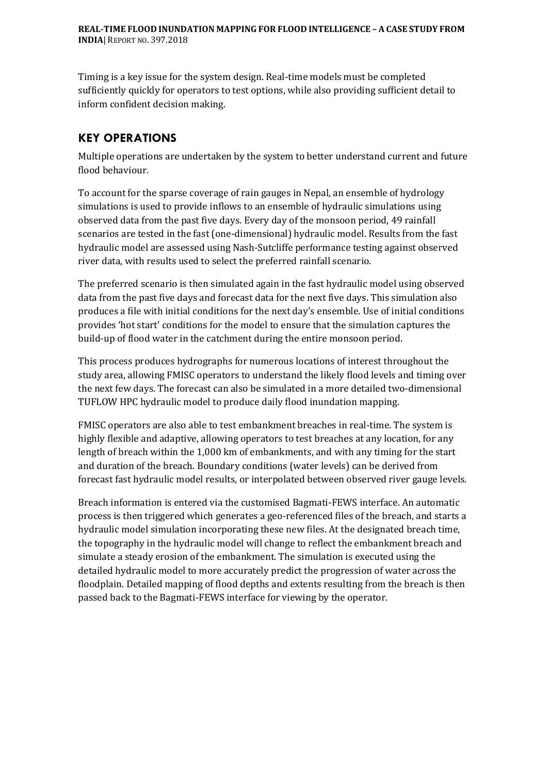Timing is a key issue for the system design. Real-time models must be completed sufficiently quickly for operators to test options, while also providing sufficient detail to inform confident decision making.

### **KEY OPERATIONS**

Multiple operations are undertaken by the system to better understand current and future flood behaviour.

To account for the sparse coverage of rain gauges in Nepal, an ensemble of hydrology simulations is used to provide inflows to an ensemble of hydraulic simulations using observed data from the past five days. Every day of the monsoon period, 49 rainfall scenarios are tested in the fast (one-dimensional) hydraulic model. Results from the fast hydraulic model are assessed using Nash-Sutcliffe performance testing against observed river data, with results used to select the preferred rainfall scenario.

The preferred scenario is then simulated again in the fast hydraulic model using observed data from the past five days and forecast data for the next five days. This simulation also produces a file with initial conditions for the next day's ensemble. Use of initial conditions provides 'hot start' conditions for the model to ensure that the simulation captures the build-up of flood water in the catchment during the entire monsoon period.

This process produces hydrographs for numerous locations of interest throughout the study area, allowing FMISC operators to understand the likely flood levels and timing over the next few days. The forecast can also be simulated in a more detailed two-dimensional TUFLOW HPC hydraulic model to produce daily flood inundation mapping.

FMISC operators are also able to test embankment breaches in real-time. The system is highly flexible and adaptive, allowing operators to test breaches at any location, for any length of breach within the 1,000 km of embankments, and with any timing for the start and duration of the breach. Boundary conditions (water levels) can be derived from forecast fast hydraulic model results, or interpolated between observed river gauge levels.

Breach information is entered via the customised Bagmati-FEWS interface. An automatic process is then triggered which generates a geo-referenced files of the breach, and starts a hydraulic model simulation incorporating these new files. At the designated breach time, the topography in the hydraulic model will change to reflect the embankment breach and simulate a steady erosion of the embankment. The simulation is executed using the detailed hydraulic model to more accurately predict the progression of water across the floodplain. Detailed mapping of flood depths and extents resulting from the breach is then passed back to the Bagmati-FEWS interface for viewing by the operator.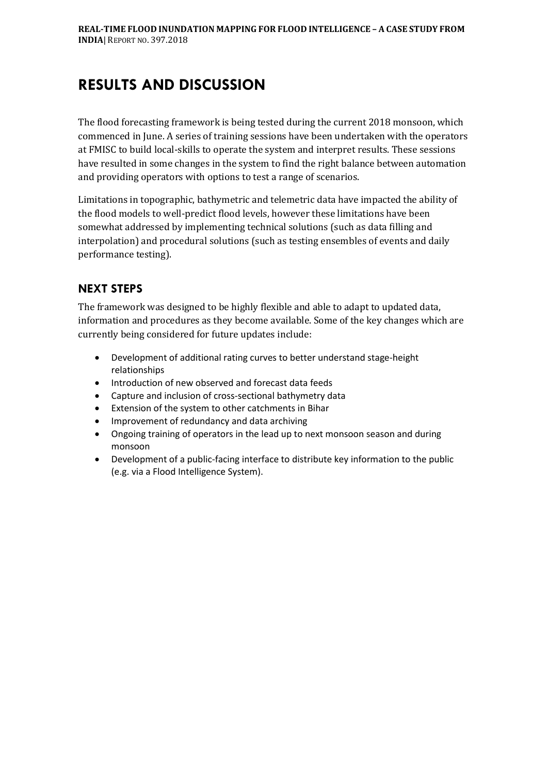## **RESULTS AND DISCUSSION**

The flood forecasting framework is being tested during the current 2018 monsoon, which commenced in June. A series of training sessions have been undertaken with the operators at FMISC to build local-skills to operate the system and interpret results. These sessions have resulted in some changes in the system to find the right balance between automation and providing operators with options to test a range of scenarios.

Limitations in topographic, bathymetric and telemetric data have impacted the ability of the flood models to well-predict flood levels, however these limitations have been somewhat addressed by implementing technical solutions (such as data filling and interpolation) and procedural solutions (such as testing ensembles of events and daily performance testing).

### **NEXT STEPS**

The framework was designed to be highly flexible and able to adapt to updated data, information and procedures as they become available. Some of the key changes which are currently being considered for future updates include:

- Development of additional rating curves to better understand stage-height relationships
- Introduction of new observed and forecast data feeds
- Capture and inclusion of cross-sectional bathymetry data
- Extension of the system to other catchments in Bihar
- Improvement of redundancy and data archiving
- Ongoing training of operators in the lead up to next monsoon season and during monsoon
- Development of a public-facing interface to distribute key information to the public (e.g. via a Flood Intelligence System).